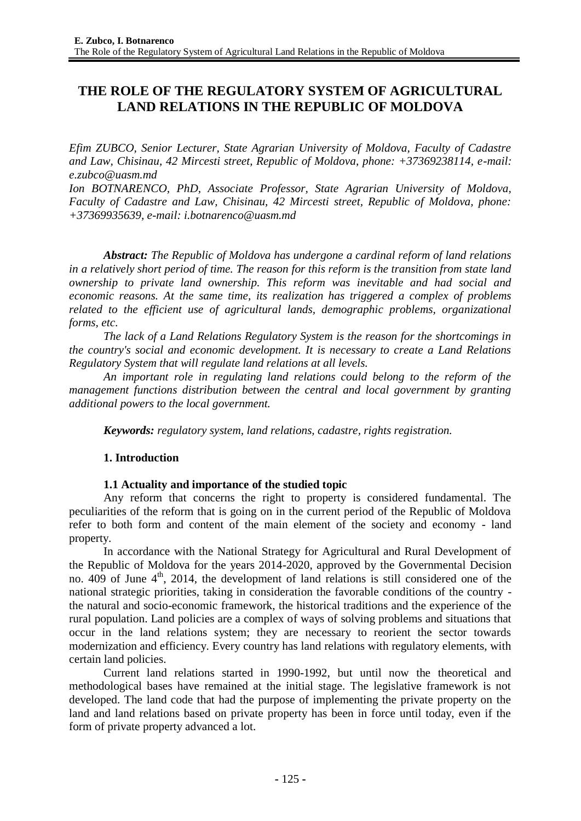# **THE ROLE OF THE REGULATORY SYSTEM OF AGRICULTURAL LAND RELATIONS IN THE REPUBLIC OF MOLDOVA**

*Efim ZUBCO, Senior Lecturer, State Agrarian University of Moldova, Faculty of Cadastre and Law, Chisinau, 42 Mircesti street, Republic of Moldova, phone: +37369238114, e-mail: [e.zubco@uasm.md](mailto:e.zubco@uasm.md)*

*Ion BOTNARENCO, PhD, Associate Professor, State Agrarian University of Moldova, Faculty of Cadastre and Law, Chisinau, 42 Mircesti street, Republic of Moldova, phone: +37369935639, e-mail: [i.botnarenco@uasm.md](mailto:i.botnarenco@uasm.md)*

*Abstract: The Republic of Moldova has undergone a cardinal reform of land relations in a relatively short period of time. The reason for this reform is the transition from state land ownership to private land ownership. This reform was inevitable and had social and economic reasons. At the same time, its realization has triggered a complex of problems related to the efficient use of agricultural lands, demographic problems, organizational forms, etc.*

*The lack of a Land Relations Regulatory System is the reason for the shortcomings in the country's social and economic development. It is necessary to create a Land Relations Regulatory System that will regulate land relations at all levels.*

*An important role in regulating land relations could belong to the reform of the management functions distribution between the central and local government by granting additional powers to the local government.*

*Keywords: regulatory system, land relations, cadastre, rights registration.*

## **1. Introduction**

## **1.1 Actuality and importance of the studied topic**

Any reform that concerns the right to property is considered fundamental. The peculiarities of the reform that is going on in the current period of the Republic of Moldova refer to both form and content of the main element of the society and economy - land property.

In accordance with the National Strategy for Agricultural and Rural Development of the Republic of Moldova for the years 2014-2020, approved by the Governmental Decision no.  $409$  of June  $4<sup>th</sup>$ , 2014, the development of land relations is still considered one of the national strategic priorities, taking in consideration the favorable conditions of the country the natural and socio-economic framework, the historical traditions and the experience of the rural population. Land policies are a complex of ways of solving problems and situations that occur in the land relations system; they are necessary to reorient the sector towards modernization and efficiency. Every country has land relations with regulatory elements, with certain land policies.

Current land relations started in 1990-1992, but until now the theoretical and methodological bases have remained at the initial stage. The legislative framework is not developed. The land code that had the purpose of implementing the private property on the land and land relations based on private property has been in force until today, even if the form of private property advanced a lot.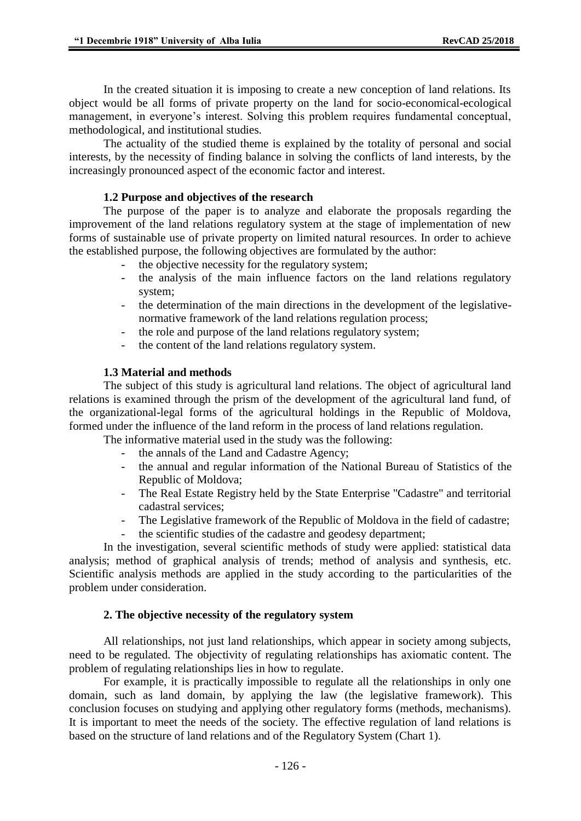In the created situation it is imposing to create a new conception of land relations. Its object would be all forms of private property on the land for socio-economical-ecological management, in everyone's interest. Solving this problem requires fundamental conceptual, methodological, and institutional studies.

The actuality of the studied theme is explained by the totality of personal and social interests, by the necessity of finding balance in solving the conflicts of land interests, by the increasingly pronounced aspect of the economic factor and interest.

#### **1.2 Purpose and objectives of the research**

The purpose of the paper is to analyze and elaborate the proposals regarding the improvement of the land relations regulatory system at the stage of implementation of new forms of sustainable use of private property on limited natural resources. In order to achieve the established purpose, the following objectives are formulated by the author:

- the objective necessity for the regulatory system;
- the analysis of the main influence factors on the land relations regulatory system;
- the determination of the main directions in the development of the legislativenormative framework of the land relations regulation process;
- the role and purpose of the land relations regulatory system;
- the content of the land relations regulatory system.

## **1.3 Material and methods**

The subject of this study is agricultural land relations. The object of agricultural land relations is examined through the prism of the development of the agricultural land fund, of the organizational-legal forms of the agricultural holdings in the Republic of Moldova, formed under the influence of the land reform in the process of land relations regulation.

The informative material used in the study was the following:

- the annals of the Land and Cadastre Agency;
- the annual and regular information of the National Bureau of Statistics of the Republic of Moldova;
- The Real Estate Registry held by the State Enterprise "Cadastre" and territorial cadastral services;
- The Legislative framework of the Republic of Moldova in the field of cadastre;
- the scientific studies of the cadastre and geodesy department;

In the investigation, several scientific methods of study were applied: statistical data analysis; method of graphical analysis of trends; method of analysis and synthesis, etc. Scientific analysis methods are applied in the study according to the particularities of the problem under consideration.

## **2. The objective necessity of the regulatory system**

All relationships, not just land relationships, which appear in society among subjects, need to be regulated. The objectivity of regulating relationships has axiomatic content. The problem of regulating relationships lies in how to regulate.

For example, it is practically impossible to regulate all the relationships in only one domain, such as land domain, by applying the law (the legislative framework). This conclusion focuses on studying and applying other regulatory forms (methods, mechanisms). It is important to meet the needs of the society. The effective regulation of land relations is based on the structure of land relations and of the Regulatory System (Chart 1).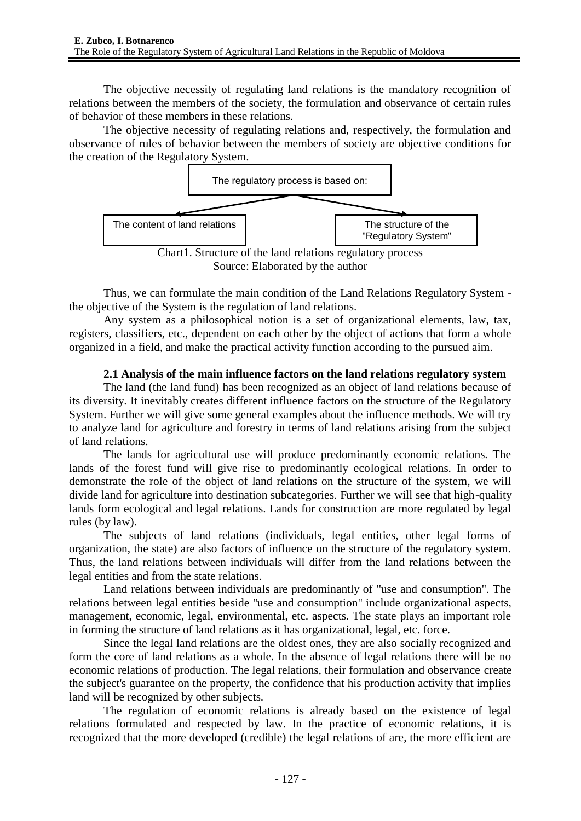The objective necessity of regulating land relations is the mandatory recognition of relations between the members of the society, the formulation and observance of certain rules of behavior of these members in these relations.

The objective necessity of regulating relations and, respectively, the formulation and observance of rules of behavior between the members of society are objective conditions for the creation of the Regulatory System.



Source: Elaborated by the author

Thus, we can formulate the main condition of the Land Relations Regulatory System the objective of the System is the regulation of land relations.

Any system as a philosophical notion is a set of organizational elements, law, tax, registers, classifiers, etc., dependent on each other by the object of actions that form a whole organized in a field, and make the practical activity function according to the pursued aim.

## **2.1 Analysis of the main influence factors on the land relations regulatory system**

The land (the land fund) has been recognized as an object of land relations because of its diversity. It inevitably creates different influence factors on the structure of the Regulatory System. Further we will give some general examples about the influence methods. We will try to analyze land for agriculture and forestry in terms of land relations arising from the subject of land relations.

The lands for agricultural use will produce predominantly economic relations. The lands of the forest fund will give rise to predominantly ecological relations. In order to demonstrate the role of the object of land relations on the structure of the system, we will divide land for agriculture into destination subcategories. Further we will see that high-quality lands form ecological and legal relations. Lands for construction are more regulated by legal rules (by law).

The subjects of land relations (individuals, legal entities, other legal forms of organization, the state) are also factors of influence on the structure of the regulatory system. Thus, the land relations between individuals will differ from the land relations between the legal entities and from the state relations.

Land relations between individuals are predominantly of "use and consumption". The relations between legal entities beside "use and consumption" include organizational aspects, management, economic, legal, environmental, etc. aspects. The state plays an important role in forming the structure of land relations as it has organizational, legal, etc. force.

Since the legal land relations are the oldest ones, they are also socially recognized and form the core of land relations as a whole. In the absence of legal relations there will be no economic relations of production. The legal relations, their formulation and observance create the subject's guarantee on the property, the confidence that his production activity that implies land will be recognized by other subjects.

The regulation of economic relations is already based on the existence of legal relations formulated and respected by law. In the practice of economic relations, it is recognized that the more developed (credible) the legal relations of are, the more efficient are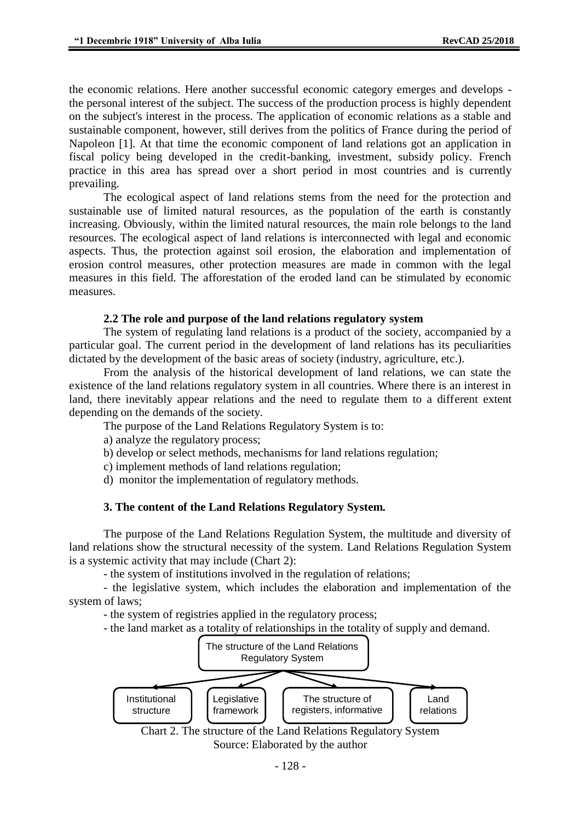the economic relations. Here another successful economic category emerges and develops the personal interest of the subject. The success of the production process is highly dependent on the subject's interest in the process. The application of economic relations as a stable and sustainable component, however, still derives from the politics of France during the period of Napoleon [1]. At that time the economic component of land relations got an application in fiscal policy being developed in the credit-banking, investment, subsidy policy. French practice in this area has spread over a short period in most countries and is currently prevailing.

The ecological aspect of land relations stems from the need for the protection and sustainable use of limited natural resources, as the population of the earth is constantly increasing. Obviously, within the limited natural resources, the main role belongs to the land resources. The ecological aspect of land relations is interconnected with legal and economic aspects. Thus, the protection against soil erosion, the elaboration and implementation of erosion control measures, other protection measures are made in common with the legal measures in this field. The afforestation of the eroded land can be stimulated by economic measures.

#### **2.2 The role and purpose of the land relations regulatory system**

The system of regulating land relations is a product of the society, accompanied by a particular goal. The current period in the development of land relations has its peculiarities dictated by the development of the basic areas of society (industry, agriculture, etc.).

From the analysis of the historical development of land relations, we can state the existence of the land relations regulatory system in all countries. Where there is an interest in land, there inevitably appear relations and the need to regulate them to a different extent depending on the demands of the society.

The purpose of the Land Relations Regulatory System is to:

a) analyze the regulatory process;

b) develop or select methods, mechanisms for land relations regulation;

c) implement methods of land relations regulation;

d) monitor the implementation of regulatory methods.

## **3. The content of the Land Relations Regulatory System.**

The purpose of the Land Relations Regulation System, the multitude and diversity of land relations show the structural necessity of the system. Land Relations Regulation System is a systemic activity that may include (Chart 2):

- the system of institutions involved in the regulation of relations;

- the legislative system, which includes the elaboration and implementation of the system of laws;

- the system of registries applied in the regulatory process;

- the land market as a totality of relationships in the totality of supply and demand.



Source: Elaborated by the author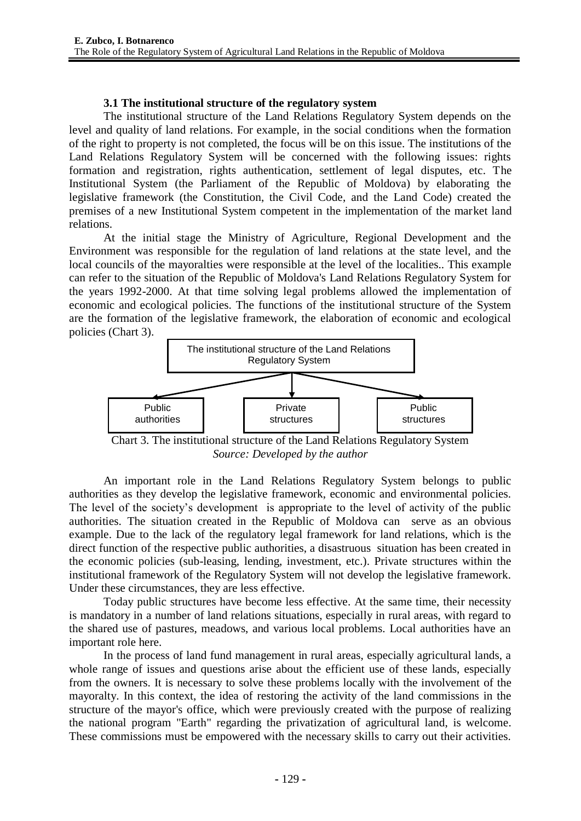## **3.1 The institutional structure of the regulatory system**

The institutional structure of the Land Relations Regulatory System depends on the level and quality of land relations. For example, in the social conditions when the formation of the right to property is not completed, the focus will be on this issue. The institutions of the Land Relations Regulatory System will be concerned with the following issues: rights formation and registration, rights authentication, settlement of legal disputes, etc. The Institutional System (the Parliament of the Republic of Moldova) by elaborating the legislative framework (the Constitution, the Civil Code, and the Land Code) created the premises of a new Institutional System competent in the implementation of the market land relations.

At the initial stage the Ministry of Agriculture, Regional Development and the Environment was responsible for the regulation of land relations at the state level, and the local councils of the mayoralties were responsible at the level of the localities.. This example can refer to the situation of the Republic of Moldova's Land Relations Regulatory System for the years 1992-2000. At that time solving legal problems allowed the implementation of economic and ecological policies. The functions of the institutional structure of the System are the formation of the legislative framework, the elaboration of economic and ecological policies (Chart 3).



Chart 3. The institutional structure of the Land Relations Regulatory System *Source: Developed by the author*

An important role in the Land Relations Regulatory System belongs to public authorities as they develop the legislative framework, economic and environmental policies. The level of the society's development is appropriate to the level of activity of the public authorities. The situation created in the Republic of Moldova can serve as an obvious example. Due to the lack of the regulatory legal framework for land relations, which is the direct function of the respective public authorities, a disastruous situation has been created in the economic policies (sub-leasing, lending, investment, etc.). Private structures within the institutional framework of the Regulatory System will not develop the legislative framework. Under these circumstances, they are less effective.

Today public structures have become less effective. At the same time, their necessity is mandatory in a number of land relations situations, especially in rural areas, with regard to the shared use of pastures, meadows, and various local problems. Local authorities have an important role here.

In the process of land fund management in rural areas, especially agricultural lands, a whole range of issues and questions arise about the efficient use of these lands, especially from the owners. It is necessary to solve these problems locally with the involvement of the mayoralty. In this context, the idea of restoring the activity of the land commissions in the structure of the mayor's office, which were previously created with the purpose of realizing the national program "Earth" regarding the privatization of agricultural land, is welcome. These commissions must be empowered with the necessary skills to carry out their activities.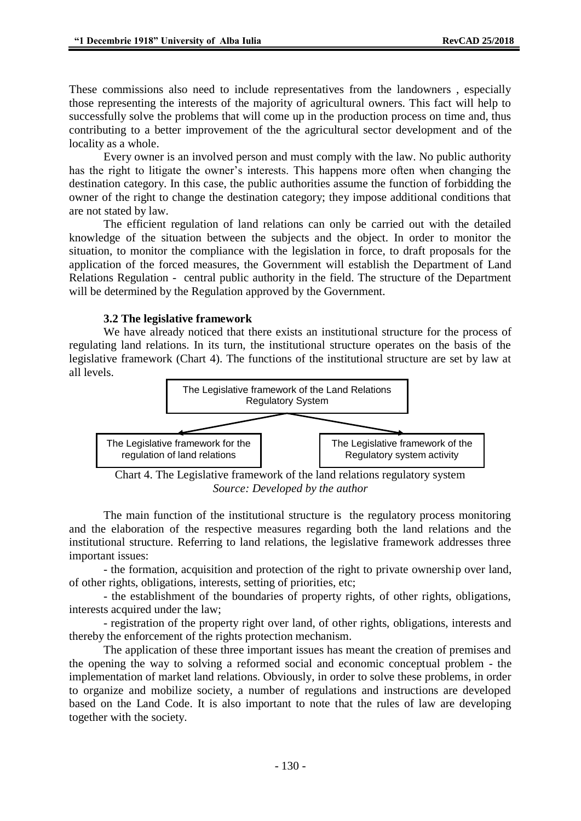These commissions also need to include representatives from the landowners , especially those representing the interests of the majority of agricultural owners. This fact will help to successfully solve the problems that will come up in the production process on time and, thus contributing to a better improvement of the the agricultural sector development and of the locality as a whole.

Every owner is an involved person and must comply with the law. No public authority has the right to litigate the owner's interests. This happens more often when changing the destination category. In this case, the public authorities assume the function of forbidding the owner of the right to change the destination category; they impose additional conditions that are not stated by law.

The efficient regulation of land relations can only be carried out with the detailed knowledge of the situation between the subjects and the object. In order to monitor the situation, to monitor the compliance with the legislation in force, to draft proposals for the application of the forced measures, the Government will establish the Department of Land Relations Regulation - central public authority in the field. The structure of the Department will be determined by the Regulation approved by the Government.

## **3.2 The legislative framework**

We have already noticed that there exists an institutional structure for the process of regulating land relations. In its turn, the institutional structure operates on the basis of the legislative framework (Chart 4). The functions of the institutional structure are set by law at all levels.



*Source: Developed by the author*

The main function of the institutional structure is the regulatory process monitoring and the elaboration of the respective measures regarding both the land relations and the institutional structure. Referring to land relations, the legislative framework addresses three important issues:

- the formation, acquisition and protection of the right to private ownership over land, of other rights, obligations, interests, setting of priorities, etc;

- the establishment of the boundaries of property rights, of other rights, obligations, interests acquired under the law;

- registration of the property right over land, of other rights, obligations, interests and thereby the enforcement of the rights protection mechanism.

The application of these three important issues has meant the creation of premises and the opening the way to solving a reformed social and economic conceptual problem - the implementation of market land relations. Obviously, in order to solve these problems, in order to organize and mobilize society, a number of regulations and instructions are developed based on the Land Code. It is also important to note that the rules of law are developing together with the society.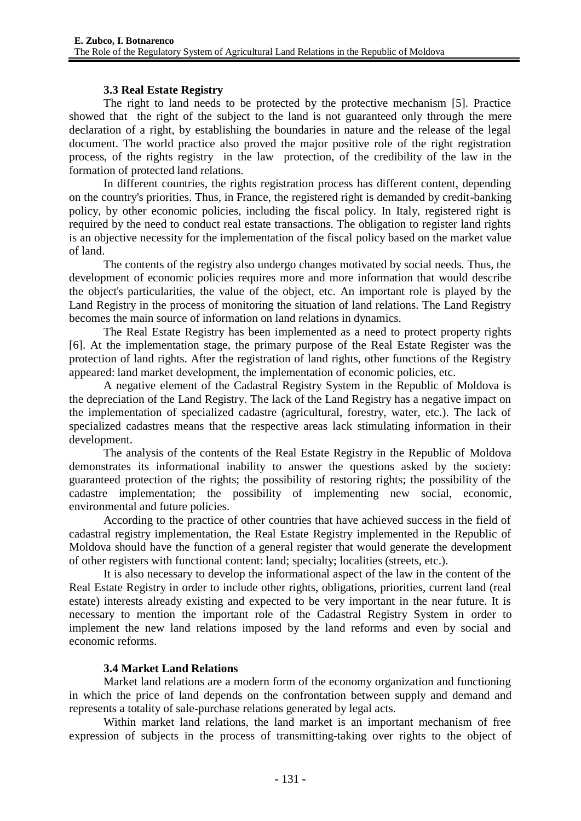## **3.3 Real Estate Registry**

The right to land needs to be protected by the protective mechanism [5]. Practice showed that the right of the subject to the land is not guaranteed only through the mere declaration of a right, by establishing the boundaries in nature and the release of the legal document. The world practice also proved the major positive role of the right registration process, of the rights registry in the law protection, of the credibility of the law in the formation of protected land relations.

In different countries, the rights registration process has different content, depending on the country's priorities. Thus, in France, the registered right is demanded by credit-banking policy, by other economic policies, including the fiscal policy. In Italy, registered right is required by the need to conduct real estate transactions. The obligation to register land rights is an objective necessity for the implementation of the fiscal policy based on the market value of land.

The contents of the registry also undergo changes motivated by social needs. Thus, the development of economic policies requires more and more information that would describe the object's particularities, the value of the object, etc. An important role is played by the Land Registry in the process of monitoring the situation of land relations. The Land Registry becomes the main source of information on land relations in dynamics.

The Real Estate Registry has been implemented as a need to protect property rights [6]. At the implementation stage, the primary purpose of the Real Estate Register was the protection of land rights. After the registration of land rights, other functions of the Registry appeared: land market development, the implementation of economic policies, etc.

A negative element of the Cadastral Registry System in the Republic of Moldova is the depreciation of the Land Registry. The lack of the Land Registry has a negative impact on the implementation of specialized cadastre (agricultural, forestry, water, etc.). The lack of specialized cadastres means that the respective areas lack stimulating information in their development.

The analysis of the contents of the Real Estate Registry in the Republic of Moldova demonstrates its informational inability to answer the questions asked by the society: guaranteed protection of the rights; the possibility of restoring rights; the possibility of the cadastre implementation; the possibility of implementing new social, economic, environmental and future policies.

According to the practice of other countries that have achieved success in the field of cadastral registry implementation, the Real Estate Registry implemented in the Republic of Moldova should have the function of a general register that would generate the development of other registers with functional content: land; specialty; localities (streets, etc.).

It is also necessary to develop the informational aspect of the law in the content of the Real Estate Registry in order to include other rights, obligations, priorities, current land (real estate) interests already existing and expected to be very important in the near future. It is necessary to mention the important role of the Cadastral Registry System in order to implement the new land relations imposed by the land reforms and even by social and economic reforms.

## **3.4 Market Land Relations**

Market land relations are a modern form of the economy organization and functioning in which the price of land depends on the confrontation between supply and demand and represents a totality of sale-purchase relations generated by legal acts.

Within market land relations, the land market is an important mechanism of free expression of subjects in the process of transmitting-taking over rights to the object of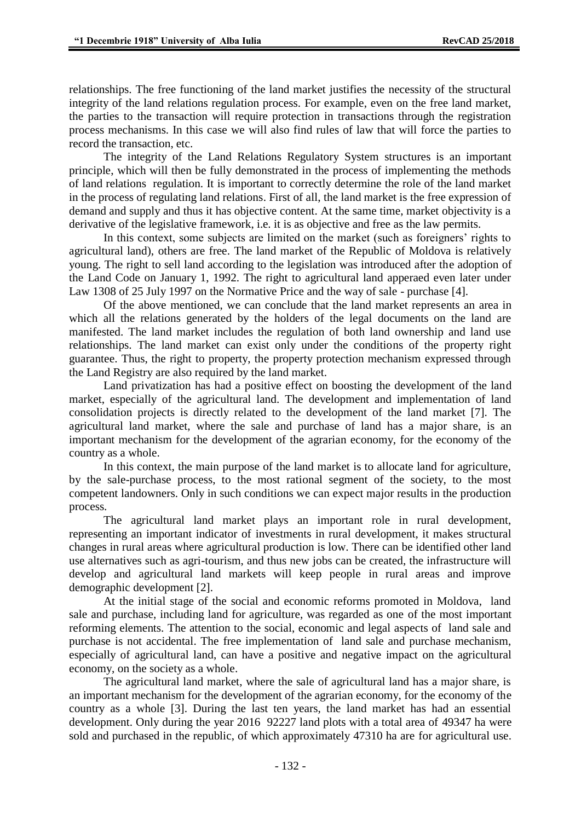relationships. The free functioning of the land market justifies the necessity of the structural integrity of the land relations regulation process. For example, even on the free land market, the parties to the transaction will require protection in transactions through the registration process mechanisms. In this case we will also find rules of law that will force the parties to record the transaction, etc.

The integrity of the Land Relations Regulatory System structures is an important principle, which will then be fully demonstrated in the process of implementing the methods of land relations regulation. It is important to correctly determine the role of the land market in the process of regulating land relations. First of all, the land market is the free expression of demand and supply and thus it has objective content. At the same time, market objectivity is a derivative of the legislative framework, i.e. it is as objective and free as the law permits.

In this context, some subjects are limited on the market (such as foreigners' rights to agricultural land), others are free. The land market of the Republic of Moldova is relatively young. The right to sell land according to the legislation was introduced after the adoption of the Land Code on January 1, 1992. The right to agricultural land apperaed even later under Law 1308 of 25 July 1997 on the Normative Price and the way of sale - purchase [4].

Of the above mentioned, we can conclude that the land market represents an area in which all the relations generated by the holders of the legal documents on the land are manifested. The land market includes the regulation of both land ownership and land use relationships. The land market can exist only under the conditions of the property right guarantee. Thus, the right to property, the property protection mechanism expressed through the Land Registry are also required by the land market.

Land privatization has had a positive effect on boosting the development of the land market, especially of the agricultural land. The development and implementation of land consolidation projects is directly related to the development of the land market [7]. The agricultural land market, where the sale and purchase of land has a major share, is an important mechanism for the development of the agrarian economy, for the economy of the country as a whole.

In this context, the main purpose of the land market is to allocate land for agriculture, by the sale-purchase process, to the most rational segment of the society, to the most competent landowners. Only in such conditions we can expect major results in the production process.

The agricultural land market plays an important role in rural development, representing an important indicator of investments in rural development, it makes structural changes in rural areas where agricultural production is low. There can be identified other land use alternatives such as agri-tourism, and thus new jobs can be created, the infrastructure will develop and agricultural land markets will keep people in rural areas and improve demographic development [2].

At the initial stage of the social and economic reforms promoted in Moldova, land sale and purchase, including land for agriculture, was regarded as one of the most important reforming elements. The attention to the social, economic and legal aspects of land sale and purchase is not accidental. The free implementation of land sale and purchase mechanism, especially of agricultural land, can have a positive and negative impact on the agricultural economy, on the society as a whole.

The agricultural land market, where the sale of agricultural land has a major share, is an important mechanism for the development of the agrarian economy, for the economy of the country as a whole [3]. During the last ten years, the land market has had an essential development. Only during the year 2016 92227 land plots with a total area of 49347 ha were sold and purchased in the republic, of which approximately 47310 ha are for agricultural use.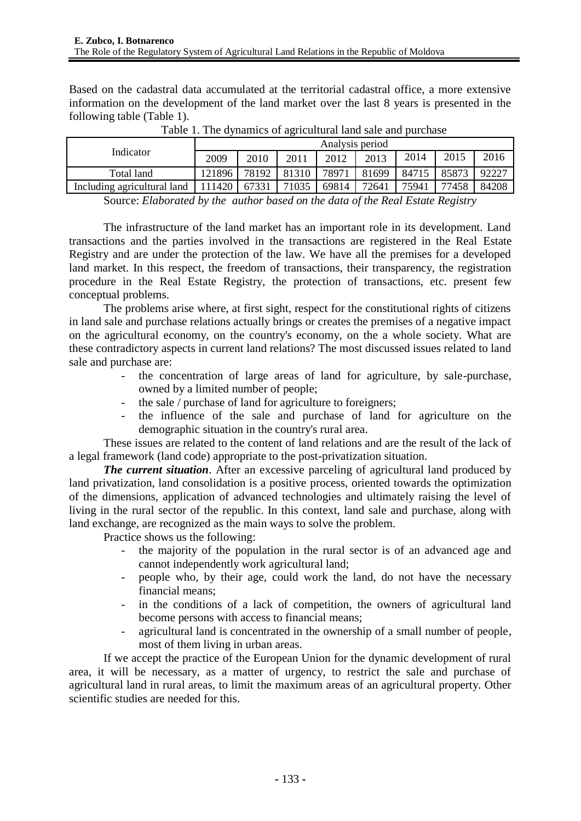Based on the cadastral data accumulated at the territorial cadastral office, a more extensive information on the development of the land market over the last 8 years is presented in the following table (Table 1).

| Indicator                   | Analysis period |       |       |       |       |       |       |       |
|-----------------------------|-----------------|-------|-------|-------|-------|-------|-------|-------|
|                             | 2009            | 2010  | 2011  | 2012  | 2013  | 2014  | 2015  | 2016  |
| Total land                  | 121896          | 78192 | 81310 | 78971 | 81699 | 84715 | 85873 | 92227 |
| Including agricultural land | 111420          | 67331 | 71035 | 69814 | 72641 | 75941 | 77458 | 84208 |

Table 1. The dynamics of agricultural land sale and purchase

Source: *Elaborated by the author based on the data of the Real Estate Registry*

The infrastructure of the land market has an important role in its development. Land transactions and the parties involved in the transactions are registered in the Real Estate Registry and are under the protection of the law. We have all the premises for a developed land market. In this respect, the freedom of transactions, their transparency, the registration procedure in the Real Estate Registry, the protection of transactions, etc. present few conceptual problems.

The problems arise where, at first sight, respect for the constitutional rights of citizens in land sale and purchase relations actually brings or creates the premises of a negative impact on the agricultural economy, on the country's economy, on the a whole society. What are these contradictory aspects in current land relations? The most discussed issues related to land sale and purchase are:

- the concentration of large areas of land for agriculture, by sale-purchase, owned by a limited number of people;
- the sale / purchase of land for agriculture to foreigners;
- the influence of the sale and purchase of land for agriculture on the demographic situation in the country's rural area.

These issues are related to the content of land relations and are the result of the lack of a legal framework (land code) appropriate to the post-privatization situation.

*The current situation.* After an excessive parceling of agricultural land produced by land privatization, land consolidation is a positive process, oriented towards the optimization of the dimensions, application of advanced technologies and ultimately raising the level of living in the rural sector of the republic. In this context, land sale and purchase, along with land exchange, are recognized as the main ways to solve the problem.

Practice shows us the following:

- the majority of the population in the rural sector is of an advanced age and cannot independently work agricultural land;
- people who, by their age, could work the land, do not have the necessary financial means;
- in the conditions of a lack of competition, the owners of agricultural land become persons with access to financial means;
- agricultural land is concentrated in the ownership of a small number of people, most of them living in urban areas.

If we accept the practice of the European Union for the dynamic development of rural area, it will be necessary, as a matter of urgency, to restrict the sale and purchase of agricultural land in rural areas, to limit the maximum areas of an agricultural property. Other scientific studies are needed for this.